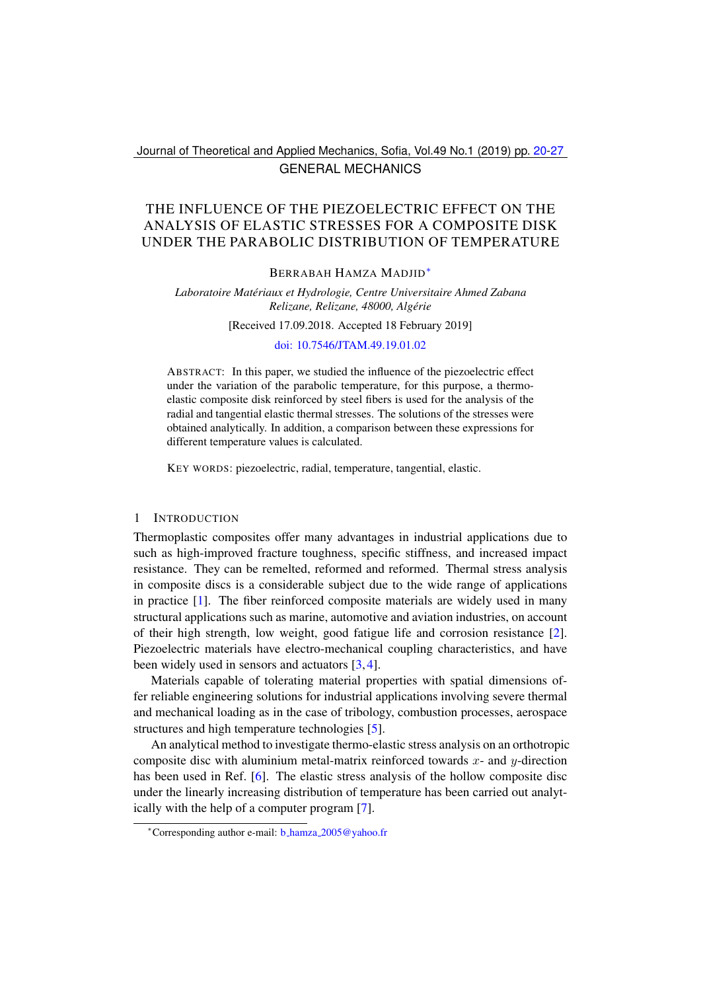# Journal of Theoretical and Applied Mechanics, Sofia, Vol.49 No.1 (2019) pp. [20](#page-0-0)[-27](#page-7-0) GENERAL MECHANICS

# <span id="page-0-0"></span>THE INFLUENCE OF THE PIEZOELECTRIC EFFECT ON THE ANALYSIS OF ELASTIC STRESSES FOR A COMPOSITE DISK UNDER THE PARABOLIC DISTRIBUTION OF TEMPERATURE

#### BERRABAH HAMZA MADJID[∗](#page-0-1)

### *Laboratoire Materiaux et Hydrologie, Centre Universitaire Ahmed Zabana ´ Relizane, Relizane, 48000, Algerie ´*

#### [Received 17.09.2018. Accepted 18 February 2019]

### [doi: 10.7546/JTAM.49.19.01.02](https://doi.org/10.7546/JTAM.49.19.01.02)

ABSTRACT: In this paper, we studied the influence of the piezoelectric effect under the variation of the parabolic temperature, for this purpose, a thermoelastic composite disk reinforced by steel fibers is used for the analysis of the radial and tangential elastic thermal stresses. The solutions of the stresses were obtained analytically. In addition, a comparison between these expressions for different temperature values is calculated.

KEY WORDS: piezoelectric, radial, temperature, tangential, elastic.

#### 1 INTRODUCTION

Thermoplastic composites offer many advantages in industrial applications due to such as high-improved fracture toughness, specific stiffness, and increased impact resistance. They can be remelted, reformed and reformed. Thermal stress analysis in composite discs is a considerable subject due to the wide range of applications in practice [\[1\]](#page-7-1). The fiber reinforced composite materials are widely used in many structural applications such as marine, automotive and aviation industries, on account of their high strength, low weight, good fatigue life and corrosion resistance [\[2\]](#page-7-2). Piezoelectric materials have electro-mechanical coupling characteristics, and have been widely used in sensors and actuators [\[3,](#page-7-3) [4\]](#page-7-4).

Materials capable of tolerating material properties with spatial dimensions offer reliable engineering solutions for industrial applications involving severe thermal and mechanical loading as in the case of tribology, combustion processes, aerospace structures and high temperature technologies [\[5\]](#page-7-5).

An analytical method to investigate thermo-elastic stress analysis on an orthotropic composite disc with aluminium metal-matrix reinforced towards  $x$ - and  $y$ -direction has been used in Ref. [\[6\]](#page-7-6). The elastic stress analysis of the hollow composite disc under the linearly increasing distribution of temperature has been carried out analytically with the help of a computer program [\[7\]](#page-7-7).

<span id="page-0-1"></span><sup>∗</sup>Corresponding author e-mail: b hamza [2005@yahoo.fr](mailto:b_hamza_2005@yahoo.fr)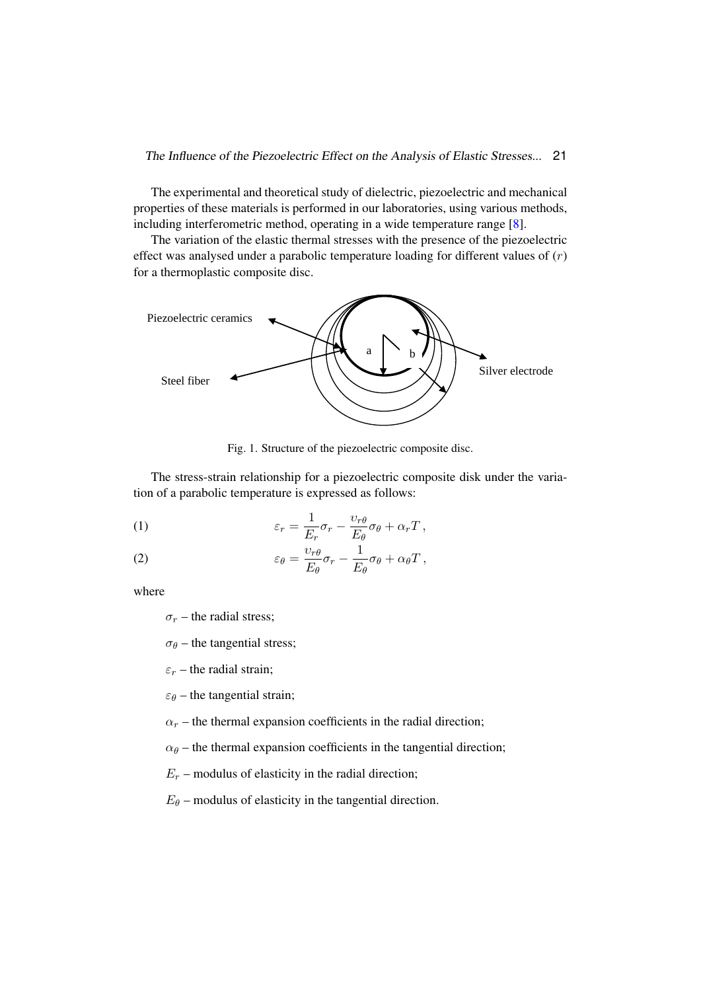The experimental and theoretical study of dielectric, piezoelectric and mechanical properties of these materials is performed in our laboratories, using various methods, including interferometric method, operating in a wide temperature range [\[8\]](#page-7-8).

The variation of the elastic thermal stresses with the presence of the piezoelectric effect was analysed under a parabolic temperature loading for different values of  $(r)$ for a thermoplastic composite disc. direct was analysed and c a parabolic temperature form.



Fig. 1. Structure of the piezoelectric composite disc. Fig. 1. Structure of the piezoelectric composite disc.

 $\frac{1}{\sqrt{1-\frac{1}{\sqrt{1-\frac{1}{\sqrt{1-\frac{1}{\sqrt{1-\frac{1}{\sqrt{1-\frac{1}{\sqrt{1-\frac{1}{\sqrt{1-\frac{1}{\sqrt{1-\frac{1}{\sqrt{1-\frac{1}{\sqrt{1-\frac{1}{\sqrt{1-\frac{1}{\sqrt{1-\frac{1}{\sqrt{1-\frac{1}{\sqrt{1-\frac{1}{\sqrt{1-\frac{1}{\sqrt{1-\frac{1}{\sqrt{1-\frac{1}{\sqrt{1-\frac{1}{\sqrt{1-\frac{1}{\sqrt{1-\frac{1}{\sqrt{1-\frac{1}{\sqrt{1-\frac{1}{\sqrt{1-\frac{1}{\sqrt{1-\frac{1$ tion of a parabolic temperature is expressed as follows: The stress-strain relationship for a piezoelectric composite disk under the varia-

<span id="page-1-0"></span>(1) 
$$
\varepsilon_r = \frac{1}{E_r} \sigma_r - \frac{v_{r\theta}}{E_{\theta}} \sigma_{\theta} + \alpha_r T,
$$

<span id="page-1-1"></span>(2) 
$$
\varepsilon_{\theta} = \frac{\upsilon_{r\theta}}{E_{\theta}} \sigma_{r} - \frac{1}{E_{\theta}} \sigma_{\theta} + \alpha_{\theta} T,
$$

where

where:  $\sigma_r$  – the radial stress;

 $\sigma_{\theta}$  – the tangential stress;

 $\varepsilon_r$  – the radial strain;

 $\varepsilon_{\theta}$  – the tangential strain;

 $\alpha_r$  – the thermal expansion coefficients in the radial direction;

 $\alpha_{\theta}$  – the thermal expansion coefficients in the tangential direction;

 $E_r$  – modulus of elasticity in the radial direction;

 $E_{\theta}$  – modulus of elasticity in the tangential direction.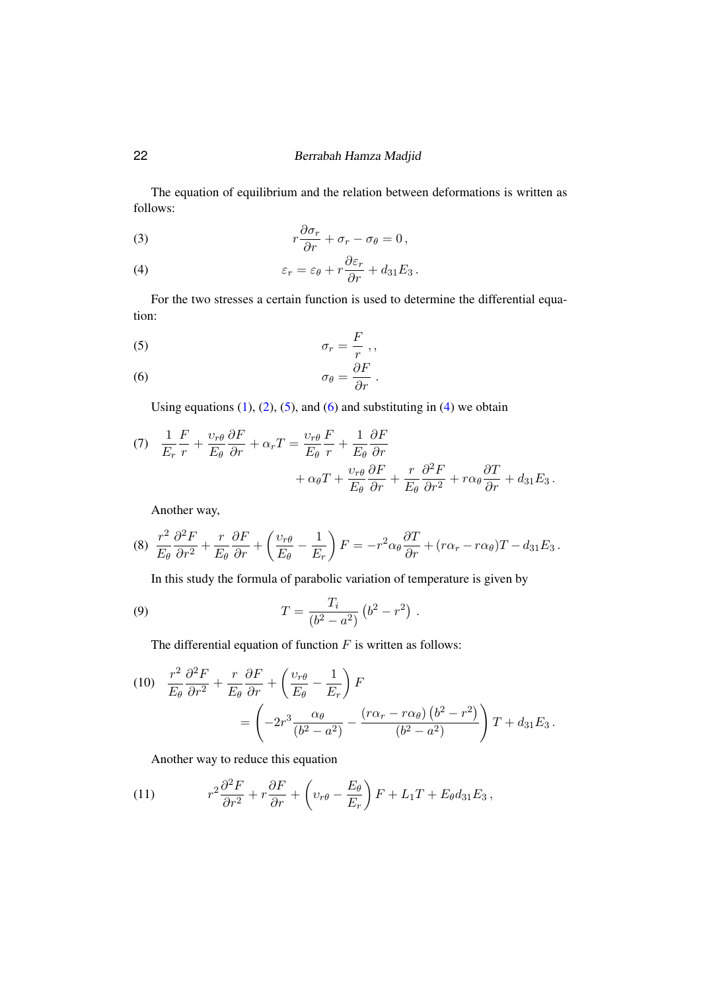## 22 Berrabah Hamza Madjid

The equation of equilibrium and the relation between deformations is written as follows:

(3) 
$$
r\frac{\partial \sigma_r}{\partial r} + \sigma_r - \sigma_\theta = 0,
$$

<span id="page-2-2"></span>(4) 
$$
\varepsilon_r = \varepsilon_\theta + r \frac{\partial \varepsilon_r}{\partial r} + d_{31} E_3.
$$

For the two stresses a certain function is used to determine the differential equation:

<span id="page-2-0"></span>
$$
\sigma_r = \frac{F}{r},
$$

<span id="page-2-1"></span>(6) 
$$
\sigma_{\theta} = \frac{\partial F}{\partial r}.
$$

Using equations  $(1)$ ,  $(2)$ ,  $(5)$ , and  $(6)$  and substituting in  $(4)$  we obtain

(7) 
$$
\frac{1}{E_r} \frac{F}{r} + \frac{\upsilon_{r\theta}}{E_{\theta}} \frac{\partial F}{\partial r} + \alpha_r T = \frac{\upsilon_{r\theta}}{E_{\theta}} \frac{F}{r} + \frac{1}{E_{\theta}} \frac{\partial F}{\partial r} + \alpha_{\theta} T + \frac{\upsilon_{r\theta}}{E_{\theta}} \frac{\partial F}{\partial r} + \frac{r}{E_{\theta}} \frac{\partial^2 F}{\partial r^2} + r \alpha_{\theta} \frac{\partial T}{\partial r} + d_{31} E_3.
$$

Another way,

$$
(8) \frac{r^2}{E_{\theta}} \frac{\partial^2 F}{\partial r^2} + \frac{r}{E_{\theta}} \frac{\partial F}{\partial r} + \left(\frac{v_{r\theta}}{E_{\theta}} - \frac{1}{E_r}\right) F = -r^2 \alpha_{\theta} \frac{\partial T}{\partial r} + (r\alpha_r - r\alpha_{\theta})T - d_{31}E_3.
$$

In this study the formula of parabolic variation of temperature is given by

(9) 
$$
T = \frac{T_i}{(b^2 - a^2)} (b^2 - r^2) .
$$

The differential equation of function  $F$  is written as follows:

(10) 
$$
\frac{r^2}{E_{\theta}} \frac{\partial^2 F}{\partial r^2} + \frac{r}{E_{\theta}} \frac{\partial F}{\partial r} + \left(\frac{\nu_{r\theta}}{E_{\theta}} - \frac{1}{E_r}\right) F
$$
  
= 
$$
\left(-2r^3 \frac{\alpha_{\theta}}{(b^2 - a^2)} - \frac{(r\alpha_r - r\alpha_{\theta})(b^2 - r^2)}{(b^2 - a^2)}\right) T + d_{31} E_3.
$$

Another way to reduce this equation

(11) 
$$
r^2 \frac{\partial^2 F}{\partial r^2} + r \frac{\partial F}{\partial r} + \left(v_{r\theta} - \frac{E_{\theta}}{E_r}\right) F + L_1 T + E_{\theta} d_{31} E_3,
$$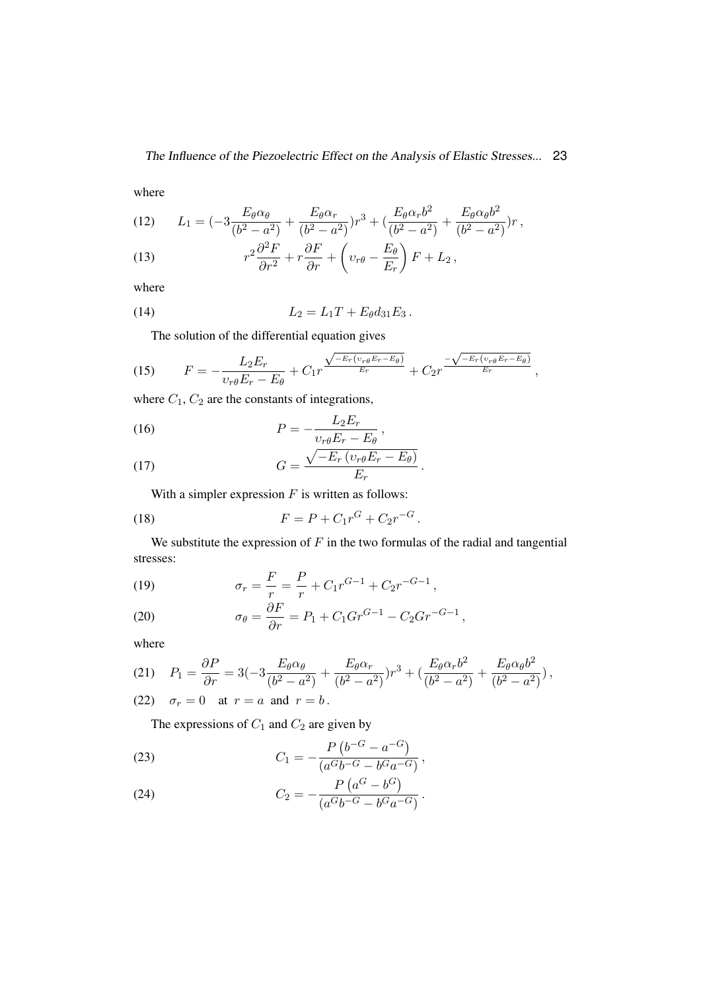where

(12) 
$$
L_1 = \left(-3\frac{E_{\theta}\alpha_{\theta}}{(b^2 - a^2)} + \frac{E_{\theta}\alpha_r}{(b^2 - a^2)}\right)r^3 + \left(\frac{E_{\theta}\alpha_r b^2}{(b^2 - a^2)} + \frac{E_{\theta}\alpha_{\theta}b^2}{(b^2 - a^2)}\right)r,
$$

(13) 
$$
r^2 \frac{\partial^2 F}{\partial r^2} + r \frac{\partial F}{\partial r} + \left(v_{r\theta} - \frac{E_{\theta}}{E_r}\right) F + L_2,
$$

where

(14) 
$$
L_2 = L_1 T + E_{\theta} d_{31} E_3.
$$

The solution of the differential equation gives

(15) 
$$
F = -\frac{L_2 E_r}{v_r \theta E_r - E_\theta} + C_1 r^{\frac{\sqrt{-E_r(v_{r\theta} E_r - E_\theta)}}{E_r}} + C_2 r^{\frac{-\sqrt{-E_r(v_{r\theta} E_r - E_\theta)}}{E_r}},
$$

where  $C_1$ ,  $C_2$  are the constants of integrations,

(16) 
$$
P = -\frac{L_2 E_r}{v_{r\theta} E_r - E_\theta},
$$

(17) 
$$
G = \frac{\sqrt{-E_r \left(v_r \theta E_r - E_\theta\right)}}{E_r}.
$$

With a simpler expression  $F$  is written as follows:

(18) 
$$
F = P + C_1 r^G + C_2 r^{-G}.
$$

We substitute the expression of  $F$  in the two formulas of the radial and tangential stresses:

(19) 
$$
\sigma_r = \frac{F}{r} = \frac{P}{r} + C_1 r^{G-1} + C_2 r^{-G-1},
$$

(20) 
$$
\sigma_{\theta} = \frac{\partial F}{\partial r} = P_1 + C_1 Gr^{G-1} - C_2 Gr^{-G-1},
$$

where

(21) 
$$
P_1 = \frac{\partial P}{\partial r} = 3(-3\frac{E_{\theta}\alpha_{\theta}}{(b^2 - a^2)} + \frac{E_{\theta}\alpha_r}{(b^2 - a^2)})r^3 + (\frac{E_{\theta}\alpha_r b^2}{(b^2 - a^2)} + \frac{E_{\theta}\alpha_{\theta}b^2}{(b^2 - a^2)}),
$$

(22) 
$$
\sigma_r = 0
$$
 at  $r = a$  and  $r = b$ .

The expressions of  $C_1$  and  $C_2$  are given by

(23) 
$$
C_1 = -\frac{P(b^{-G} - a^{-G})}{(a^G b^{-G} - b^G a^{-G})},
$$

(24) 
$$
C_2 = -\frac{P\left(a^G - b^G\right)}{\left(a^Gb^{-G} - b^Ga^{-G}\right)}.
$$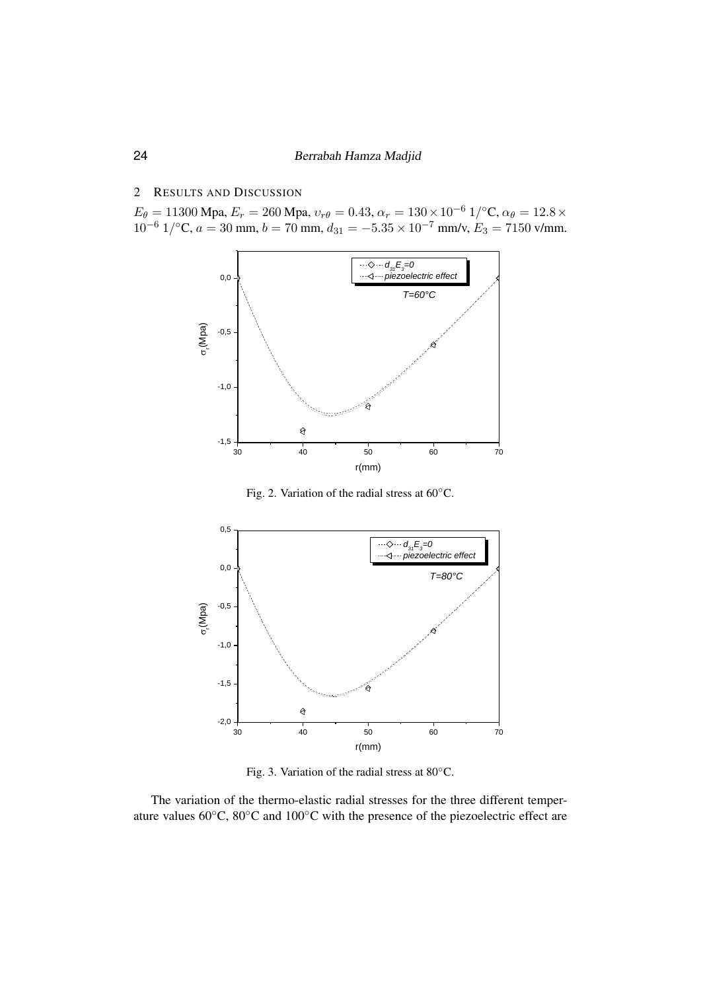## 2 RESULTS AND DISCUSSION

 $E_\theta = 11300$  Mpa,  $E_r = 260$  Mpa,  $v_{r\theta} = 0.43$ ,  $\alpha_r = 130 \times 10^{-6}$   $1$ /°C,  $\alpha_\theta = 12.8 \times$  $10^{-6}$  1/<sup>o</sup>C,  $a = 30$  mm,  $b = 70$  mm,  $d_{31} = -5.35 \times 10^{-7}$  mm/v,  $E_3 = 7150$  v/mm.



<span id="page-4-0"></span>Fig. 2. Variation of the radial stress at 60° C. Fig. 2. Variation of the radial stress at 60◦C. Fig. 2. Variation of the radial stress at 60° C.



<span id="page-4-1"></span> $r<sub>1</sub>$ Fig. 3. Variation of the radial stress at 80° C. Fig. 3. Variation of the radial stress at 80◦C.

The variation of the thermo-elastic radial stresses for the three different temperature values 60◦C, 80◦C and 100◦C with the presence of the piezoelectric effect are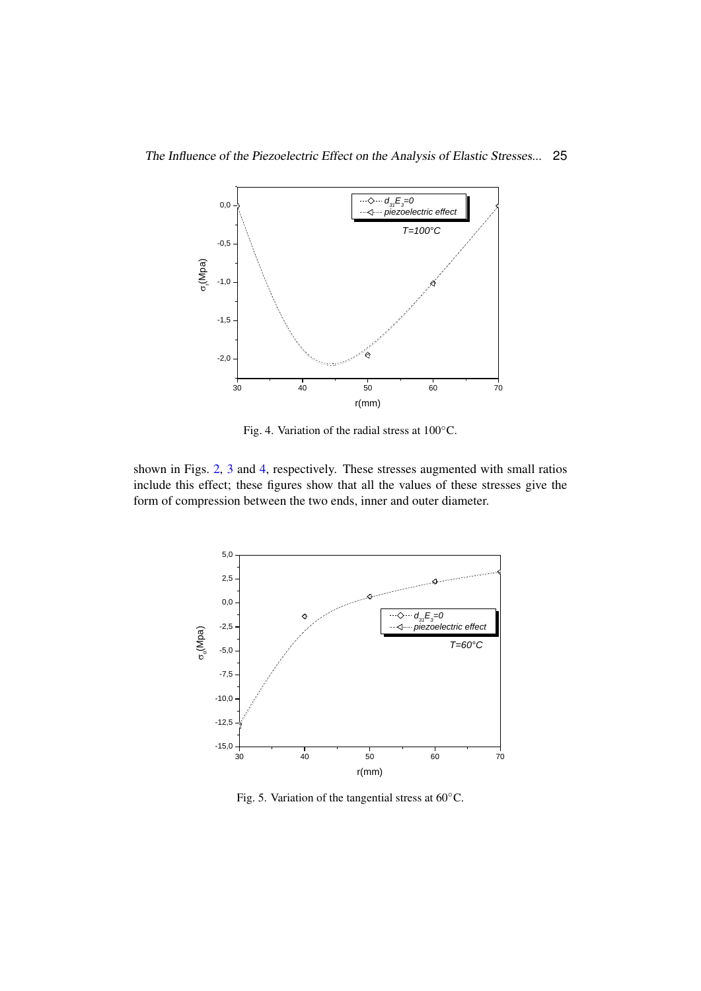

<span id="page-5-0"></span>Fig. 4. Variation of the radial stress at  $100^{\circ}$ C.

shown in Figs. 2, 3 and 4, respectively. These stresses augmented with small ra[tio](#page-4-1)s include this effect; these figures show that all the values of these stresses give the form of compression between the two ends, inner and outer diameter. small ratios include this effect; these figures show that all the values of these



<span id="page-5-1"></span>Fig. 5. Variation of the tangential stress at  $60^{\circ}$ C.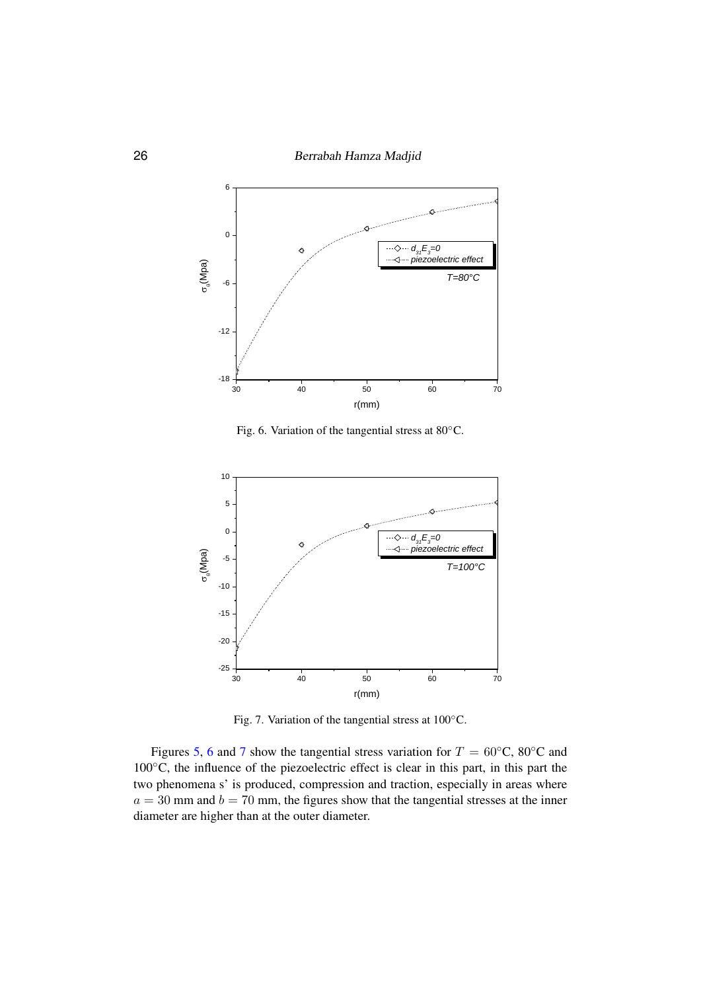

<span id="page-6-0"></span>Fig. 6**.** Variation of the tangential stress at 80° C. Fig. 6. Variation of the tangential stress at 80◦C.



<span id="page-6-1"></span>Fig. 7. Variation of the tangential stress at 100° C. Fig. 7. Variation of the tangential stress at 100◦C.

Figures [5,](#page-5-1) [6](#page-6-0) and [7](#page-6-1) show the tangential stress variation for  $T = 60°$ C, 80°C and 100℃, the influence of the piezoelectric effect is clear in this part, in this part the two phenomena s' is produced, compression and traction, especially in areas where  $a = 30$  mm and  $b = 70$  mm, the figures show that the tangential stresses at the inner diameter are higher than at the outer diameter.